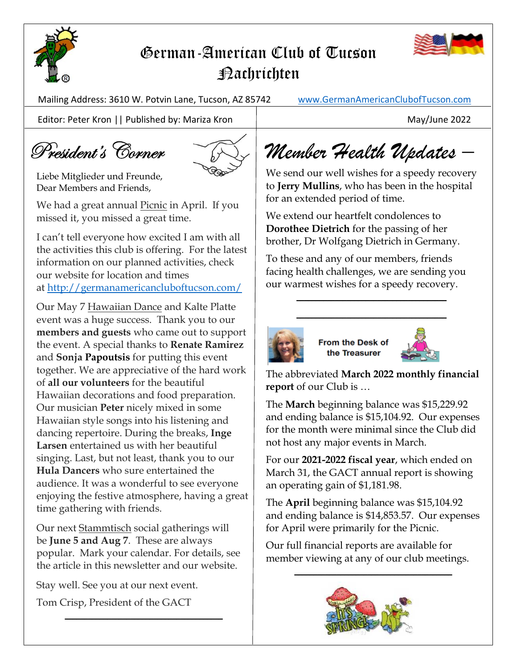

# German-American Club of Tucson **Pachrichten**



Mailing Address: 3610 W. Potvin Lane, Tucson, AZ 85742 www.GermanAmericanClubofTucson.com

Editor: Peter Kron || Published by: Mariza Kron May || May || May || May || May || May || May || May || May |

# President's Corner



Liebe Mitglieder und Freunde, Dear Members and Friends,

We had a great annual Picnic in April. If you missed it, you missed a great time.

I can't tell everyone how excited I am with all the activities this club is offering. For the latest information on our planned activities, check our website for location and times at http://germanamericancluboftucson.com/

Our May 7 Hawaiian Dance and Kalte Platte event was a huge success. Thank you to our **members and guests** who came out to support the event. A special thanks to **Renate Ramirez** and **Sonja Papoutsis** for putting this event together. We are appreciative of the hard work of **all our volunteers** for the beautiful Hawaiian decorations and food preparation. Our musician **Peter** nicely mixed in some Hawaiian style songs into his listening and dancing repertoire. During the breaks, **Inge Larsen** entertained us with her beautiful singing. Last, but not least, thank you to our **Hula Dancers** who sure entertained the audience. It was a wonderful to see everyone enjoying the festive atmosphere, having a great time gathering with friends.

Our next Stammtisch social gatherings will be **June 5 and Aug 7**. These are always popular. Mark your calendar. For details, see the article in this newsletter and our website.

 $\overline{\phantom{a}}$  , where  $\overline{\phantom{a}}$  , where  $\overline{\phantom{a}}$  ,  $\overline{\phantom{a}}$  ,  $\overline{\phantom{a}}$  ,  $\overline{\phantom{a}}$  ,  $\overline{\phantom{a}}$  ,  $\overline{\phantom{a}}$  ,  $\overline{\phantom{a}}$  ,  $\overline{\phantom{a}}$  ,  $\overline{\phantom{a}}$  ,  $\overline{\phantom{a}}$  ,  $\overline{\phantom{a}}$  ,  $\overline{\phantom{a}}$  ,  $\overline{\phantom{a}}$  ,

Stay well. See you at our next event.

Tom Crisp, President of the GACT

*Member Health Updates –* 

We send our well wishes for a speedy recovery to **Jerry Mullins**, who has been in the hospital for an extended period of time.

We extend our heartfelt condolences to **Dorothee Dietrich** for the passing of her brother, Dr Wolfgang Dietrich in Germany.

To these and any of our members, friends facing health challenges, we are sending you our warmest wishes for a speedy recovery.

\_\_\_\_\_\_\_\_\_\_\_\_\_\_\_\_\_\_\_\_\_\_\_\_\_\_\_\_\_\_\_\_\_\_\_\_\_\_\_

\_\_\_\_\_\_\_\_\_\_\_\_\_\_\_\_\_\_\_\_\_\_\_\_\_\_\_\_\_\_\_\_\_\_\_\_\_\_\_



From the Desk of the Treasurer



The abbreviated **March 2022 monthly financial report** of our Club is …

The **March** beginning balance was \$15,229.92 and ending balance is \$15,104.92. Our expenses for the month were minimal since the Club did not host any major events in March.

For our **2021-2022 fiscal year**, which ended on March 31, the GACT annual report is showing an operating gain of \$1,181.98.

The **April** beginning balance was \$15,104.92 and ending balance is \$14,853.57. Our expenses for April were primarily for the Picnic.

Our full financial reports are available for member viewing at any of our club meetings.

 $\overline{\phantom{a}}$  , and the set of the set of the set of the set of the set of the set of the set of the set of the set of the set of the set of the set of the set of the set of the set of the set of the set of the set of the s

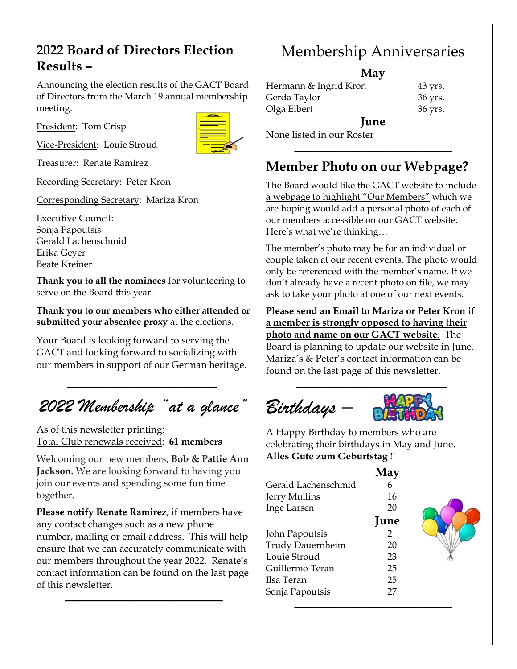#### **2022 Board of Directors Election Results –**

Announcing the election results of the GACT Board of Directors from the March 19 annual membership meeting.

President: Tom Crisp

Vice-President: Louie Stroud



Recording Secretary: Peter Kron

Corresponding Secretary: Mariza Kron

Executive Council: Sonja Papoutsis Gerald Lachenschmid Erika Geyer Beate Kreiner

**Thank you to all the nominees** for volunteering to serve on the Board this year.

**Thank you to our members who either attended or submitted your absentee proxy** at the elections.

Your Board is looking forward to serving the GACT and looking forward to socializing with our members in support of our German heritage.

*2022 Membership "at a glance"* 

\_\_\_\_\_\_\_\_\_\_\_\_\_\_\_\_\_\_\_\_\_\_\_\_\_\_\_\_\_\_\_\_\_\_\_\_\_\_\_

As of this newsletter printing: Total Club renewals received: **61 members**

Welcoming our new members, **Bob & Pattie Ann Jackson.** We are looking forward to having you join our events and spending some fun time together.

**Please notify Renate Ramirez,** if members have any contact changes such as a new phone number, mailing or email address. This will help ensure that we can accurately communicate with our members throughout the year 2022. Renate's contact information can be found on the last page of this newsletter.

 $\overline{\phantom{a}}$  , where  $\overline{\phantom{a}}$  , where  $\overline{\phantom{a}}$  ,  $\overline{\phantom{a}}$  ,  $\overline{\phantom{a}}$  ,  $\overline{\phantom{a}}$  ,  $\overline{\phantom{a}}$  ,  $\overline{\phantom{a}}$  ,  $\overline{\phantom{a}}$  ,  $\overline{\phantom{a}}$  ,  $\overline{\phantom{a}}$  ,  $\overline{\phantom{a}}$  ,  $\overline{\phantom{a}}$  ,  $\overline{\phantom{a}}$  ,  $\overline{\phantom{a}}$  ,

## Membership Anniversaries

**May** 

| Hermann & Ingrid Kron | $43$ yrs. |
|-----------------------|-----------|
| Gerda Taylor          | 36 yrs.   |
| Olga Elbert           | 36 yrs.   |
| June                  |           |

None listed in our Roster

### **Member Photo on our Webpage?**

 $\overline{\phantom{a}}$  , and the set of the set of the set of the set of the set of the set of the set of the set of the set of the set of the set of the set of the set of the set of the set of the set of the set of the set of the s

The Board would like the GACT website to include a webpage to highlight "Our Members" which we are hoping would add a personal photo of each of our members accessible on our GACT website. Here's what we're thinking…

The member's photo may be for an individual or couple taken at our recent events. The photo would only be referenced with the member's name. If we don't already have a recent photo on file, we may ask to take your photo at one of our next events.

**Please send an Email to Mariza or Peter Kron if a member is strongly opposed to having their photo and name on our GACT website**. The Board is planning to update our website in June. Mariza's & Peter's contact information can be found on the last page of this newsletter.

*Birthdays –* 



A Happy Birthday to members who are celebrating their birthdays in May and June. **Alles Gute zum Geburtstag** !!

|                     | May            |  |
|---------------------|----------------|--|
| Gerald Lachenschmid | 6              |  |
| Jerry Mullins       | 16             |  |
| Inge Larsen         | 20             |  |
|                     | June           |  |
| John Papoutsis      | $\overline{2}$ |  |
| Trudy Dauernheim    | 20             |  |
| Louie Stroud        | 23             |  |
| Guillermo Teran     | 25             |  |
| Ilsa Teran          | 25             |  |
| Sonja Papoutsis     | 27             |  |
|                     |                |  |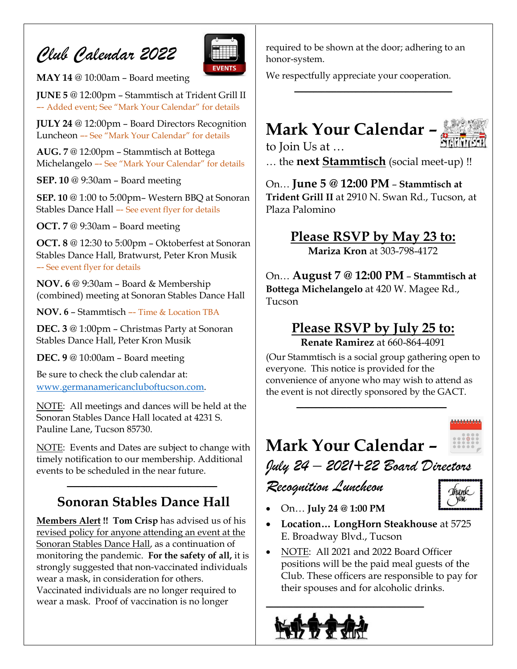*Club Calendar 2022* 



**MAY 14** @ 10:00am – Board meeting

**JUNE 5** @ 12:00pm – Stammtisch at Trident Grill II –- Added event; See "Mark Your Calendar" for details

**JULY 24** @ 12:00pm – Board Directors Recognition Luncheon –- See "Mark Your Calendar" for details

**AUG. 7** @ 12:00pm – Stammtisch at Bottega Michelangelo –- See "Mark Your Calendar" for details

**SEP. 10** @ 9:30am – Board meeting

**SEP. 10** @ 1:00 to 5:00pm– Western BBQ at Sonoran Stables Dance Hall –- See event flyer for details

**OCT. 7** @ 9:30am – Board meeting

**OCT. 8** @ 12:30 to 5:00pm – Oktoberfest at Sonoran Stables Dance Hall, Bratwurst, Peter Kron Musik –- See event flyer for details

**NOV. 6** @ 9:30am – Board & Membership (combined) meeting at Sonoran Stables Dance Hall

**NOV. 6** – Stammtisch –- Time & Location TBA

**DEC. 3** @ 1:00pm – Christmas Party at Sonoran Stables Dance Hall, Peter Kron Musik

**DEC. 9** @ 10:00am – Board meeting

Be sure to check the club calendar at: www.germanamericancluboftucson.com.

NOTE: All meetings and dances will be held at the Sonoran Stables Dance Hall located at 4231 S. Pauline Lane, Tucson 85730.

NOTE: Events and Dates are subject to change with timely notification to our membership. Additional events to be scheduled in the near future.

### **Sonoran Stables Dance Hall**

\_\_\_\_\_\_\_\_\_\_\_\_\_\_\_\_\_\_\_\_\_\_\_\_\_\_\_\_\_\_\_\_\_\_\_\_\_\_\_

**Members Alert !! Tom Crisp** has advised us of his revised policy for anyone attending an event at the Sonoran Stables Dance Hall, as a continuation of monitoring the pandemic. **For the safety of all,** it is strongly suggested that non-vaccinated individuals wear a mask, in consideration for others. Vaccinated individuals are no longer required to wear a mask. Proof of vaccination is no longer

required to be shown at the door; adhering to an honor-system.

 $\overline{\phantom{a}}$  , and the set of the set of the set of the set of the set of the set of the set of the set of the set of the set of the set of the set of the set of the set of the set of the set of the set of the set of the s

We respectfully appreciate your cooperation.

# **Mark Your Calendar –**

to Join Us at …



… the **next Stammtisch** (social meet-up) !!

On… **June 5 @ 12:00 PM** – **Stammtisch at Trident Grill II** at 2910 N. Swan Rd., Tucson, at Plaza Palomino

**Please RSVP by May 23 to:**

**Mariza Kron** at 303-798-4172

On… **August 7 @ 12:00 PM** – **Stammtisch at Bottega Michelangelo** at 420 W. Magee Rd., Tucson

### **Please RSVP by July 25 to:**

**Renate Ramirez** at 660-864-4091

(Our Stammtisch is a social group gathering open to everyone. This notice is provided for the convenience of anyone who may wish to attend as the event is not directly sponsored by the GACT.

\_\_\_\_\_\_\_\_\_\_\_\_\_\_\_\_\_\_\_\_\_\_\_\_\_\_\_\_\_\_\_\_\_\_\_\_\_\_\_



# **Mark Your Calendar –**



*July 24 – 2021+22 Board Directors* 

#### *Recognition Luncheon*



- On… **July 24 @ 1:00 PM**
- **Location… LongHorn Steakhouse** at 5725 E. Broadway Blvd., Tucson
- NOTE: All 2021 and 2022 Board Officer positions will be the paid meal guests of the Club. These officers are responsible to pay for their spouses and for alcoholic drinks.

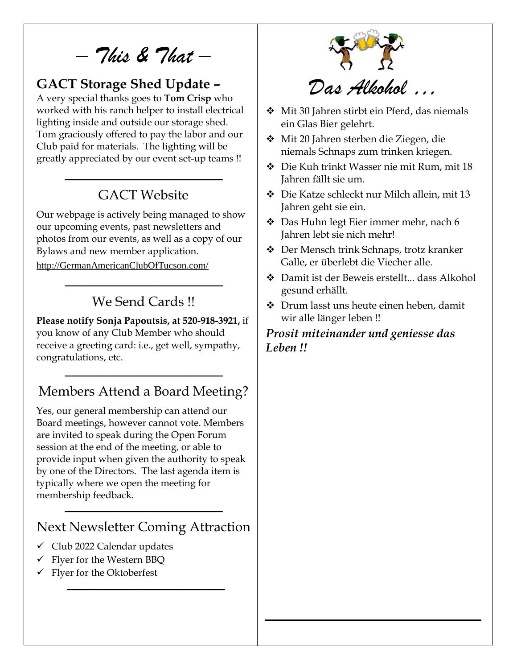*– This & That –* 

### **GACT Storage Shed Update –**

A very special thanks goes to **Tom Crisp** who worked with his ranch helper to install electrical lighting inside and outside our storage shed. Tom graciously offered to pay the labor and our Club paid for materials. The lighting will be greatly appreciated by our event set-up teams !!

### GACT Website

 $\overline{\phantom{a}}$  , where  $\overline{\phantom{a}}$  , where  $\overline{\phantom{a}}$  ,  $\overline{\phantom{a}}$  ,  $\overline{\phantom{a}}$  ,  $\overline{\phantom{a}}$  ,  $\overline{\phantom{a}}$  ,  $\overline{\phantom{a}}$  ,  $\overline{\phantom{a}}$  ,  $\overline{\phantom{a}}$  ,  $\overline{\phantom{a}}$  ,  $\overline{\phantom{a}}$  ,  $\overline{\phantom{a}}$  ,  $\overline{\phantom{a}}$  ,  $\overline{\phantom{a}}$  ,

Our webpage is actively being managed to show our upcoming events, past newsletters and photos from our events, as well as a copy of our Bylaws and new member application.

http://GermanAmericanClubOfTucson.com/

#### We Send Cards !!

 $\overline{\phantom{a}}$  , where  $\overline{\phantom{a}}$  , where  $\overline{\phantom{a}}$  ,  $\overline{\phantom{a}}$  ,  $\overline{\phantom{a}}$  ,  $\overline{\phantom{a}}$  ,  $\overline{\phantom{a}}$  ,  $\overline{\phantom{a}}$  ,  $\overline{\phantom{a}}$  ,  $\overline{\phantom{a}}$  ,  $\overline{\phantom{a}}$  ,  $\overline{\phantom{a}}$  ,  $\overline{\phantom{a}}$  ,  $\overline{\phantom{a}}$  ,  $\overline{\phantom{a}}$  ,

**Please notify Sonja Papoutsis, at 520-918-3921,** if you know of any Club Member who should receive a greeting card: i.e., get well, sympathy, congratulations, etc.

### Members Attend a Board Meeting?

 $\overline{\phantom{a}}$  , where  $\overline{\phantom{a}}$  , where  $\overline{\phantom{a}}$  ,  $\overline{\phantom{a}}$  ,  $\overline{\phantom{a}}$  ,  $\overline{\phantom{a}}$  ,  $\overline{\phantom{a}}$  ,  $\overline{\phantom{a}}$  ,  $\overline{\phantom{a}}$  ,  $\overline{\phantom{a}}$  ,  $\overline{\phantom{a}}$  ,  $\overline{\phantom{a}}$  ,  $\overline{\phantom{a}}$  ,  $\overline{\phantom{a}}$  ,  $\overline{\phantom{a}}$  ,

Yes, our general membership can attend our Board meetings, however cannot vote. Members are invited to speak during the Open Forum session at the end of the meeting, or able to provide input when given the authority to speak by one of the Directors. The last agenda item is typically where we open the meeting for membership feedback.

#### Next Newsletter Coming Attraction

 $\overline{\phantom{a}}$  , we can assume that the contract of  $\overline{\phantom{a}}$ 

 $\overline{\phantom{a}}$  , where  $\overline{\phantom{a}}$  , where  $\overline{\phantom{a}}$  ,  $\overline{\phantom{a}}$  ,  $\overline{\phantom{a}}$  ,  $\overline{\phantom{a}}$  ,  $\overline{\phantom{a}}$  ,  $\overline{\phantom{a}}$  ,  $\overline{\phantom{a}}$  ,  $\overline{\phantom{a}}$  ,  $\overline{\phantom{a}}$  ,  $\overline{\phantom{a}}$  ,  $\overline{\phantom{a}}$  ,  $\overline{\phantom{a}}$  ,  $\overline{\phantom{a}}$  ,

- $\checkmark$  Club 2022 Calendar updates
- $\checkmark$  Flyer for the Western BBQ
- $\checkmark$  Flyer for the Oktoberfest



*Das Alkohol …* 

- Mit 30 Jahren stirbt ein Pferd, das niemals ein Glas Bier gelehrt.
- Mit 20 Jahren sterben die Ziegen, die niemals Schnaps zum trinken kriegen.
- Die Kuh trinkt Wasser nie mit Rum, mit 18 Jahren fällt sie um.
- Die Katze schleckt nur Milch allein, mit 13 Jahren geht sie ein.
- Das Huhn legt Eier immer mehr, nach 6 Jahren lebt sie nich mehr!
- Der Mensch trink Schnaps, trotz kranker Galle, er überlebt die Viecher alle.
- Damit ist der Beweis erstellt... dass Alkohol gesund erhällt.
- Drum lasst uns heute einen heben, damit wir alle länger leben !!

#### *Prosit miteinander und geniesse das Leben !!*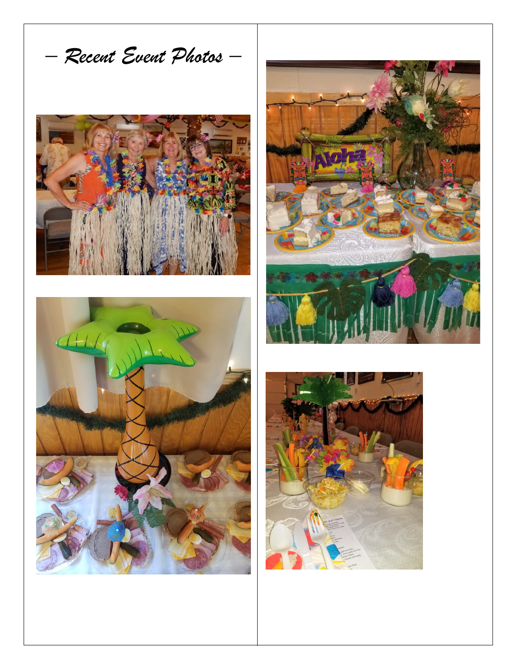*– Recent Event Photos –*